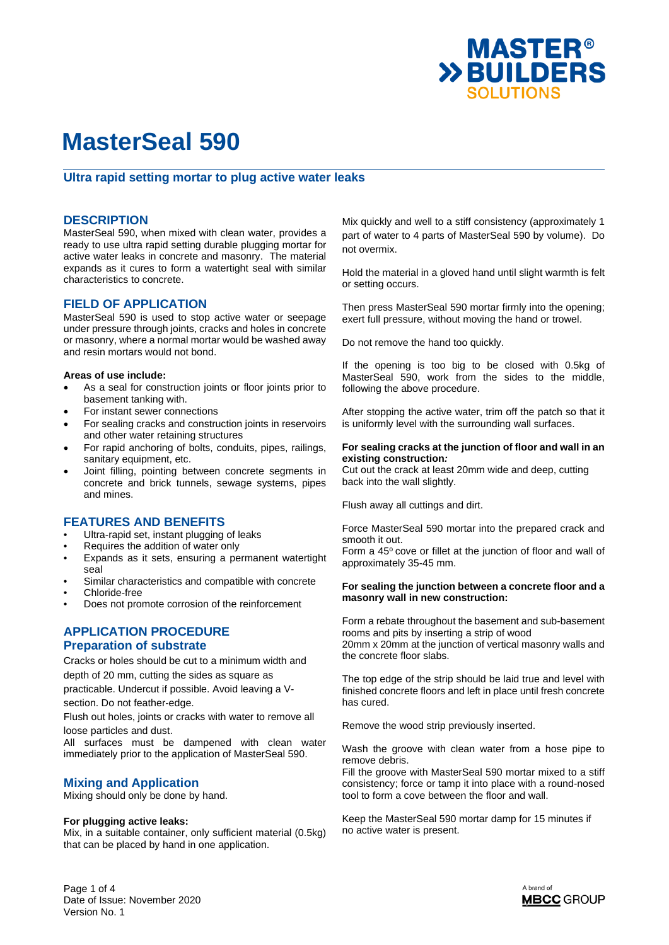

### **Ultra rapid setting mortar to plug active water leaks**

#### **DESCRIPTION**

MasterSeal 590, when mixed with clean water, provides a ready to use ultra rapid setting durable plugging mortar for active water leaks in concrete and masonry. The material expands as it cures to form a watertight seal with similar characteristics to concrete.

### **FIELD OF APPLICATION**

MasterSeal 590 is used to stop active water or seepage under pressure through joints, cracks and holes in concrete or masonry, where a normal mortar would be washed away and resin mortars would not bond.

#### **Areas of use include:**

- As a seal for construction joints or floor joints prior to basement tanking with.
- For instant sewer connections
- For sealing cracks and construction joints in reservoirs and other water retaining structures
- For rapid anchoring of bolts, conduits, pipes, railings, sanitary equipment, etc.
- Joint filling, pointing between concrete segments in concrete and brick tunnels, sewage systems, pipes and mines.

## **FEATURES AND BENEFITS**

- Ultra-rapid set, instant plugging of leaks
- Requires the addition of water only
- Expands as it sets, ensuring a permanent watertight seal
- Similar characteristics and compatible with concrete • Chloride-free
- Does not promote corrosion of the reinforcement

## **APPLICATION PROCEDURE Preparation of substrate**

Cracks or holes should be cut to a minimum width and depth of 20 mm, cutting the sides as square as practicable. Undercut if possible. Avoid leaving a V-

section. Do not feather-edge.

Flush out holes, joints or cracks with water to remove all loose particles and dust.

All surfaces must be dampened with clean water immediately prior to the application of MasterSeal 590.

## **Mixing and Application**

Mixing should only be done by hand.

#### **For plugging active leaks:**

Mix, in a suitable container, only sufficient material (0.5kg) that can be placed by hand in one application.

Mix quickly and well to a stiff consistency (approximately 1 part of water to 4 parts of MasterSeal 590 by volume). Do not overmix.

Hold the material in a gloved hand until slight warmth is felt or setting occurs.

Then press MasterSeal 590 mortar firmly into the opening; exert full pressure, without moving the hand or trowel.

Do not remove the hand too quickly.

If the opening is too big to be closed with 0.5kg of MasterSeal 590, work from the sides to the middle, following the above procedure.

After stopping the active water, trim off the patch so that it is uniformly level with the surrounding wall surfaces.

#### **For sealing cracks at the junction of floor and wall in an existing construction***:*

Cut out the crack at least 20mm wide and deep, cutting back into the wall slightly.

Flush away all cuttings and dirt.

Force MasterSeal 590 mortar into the prepared crack and smooth it out.

Form a 45° cove or fillet at the junction of floor and wall of approximately 35-45 mm.

#### **For sealing the junction between a concrete floor and a masonry wall in new construction:**

Form a rebate throughout the basement and sub-basement rooms and pits by inserting a strip of wood 20mm x 20mm at the junction of vertical masonry walls and the concrete floor slabs.

The top edge of the strip should be laid true and level with finished concrete floors and left in place until fresh concrete has cured.

Remove the wood strip previously inserted.

Wash the groove with clean water from a hose pipe to remove debris.

Fill the groove with MasterSeal 590 mortar mixed to a stiff consistency; force or tamp it into place with a round-nosed tool to form a cove between the floor and wall.

Keep the MasterSeal 590 mortar damp for 15 minutes if no active water is present.

Page 1 of 4 Date of Issue: November 2020 Version No. 1

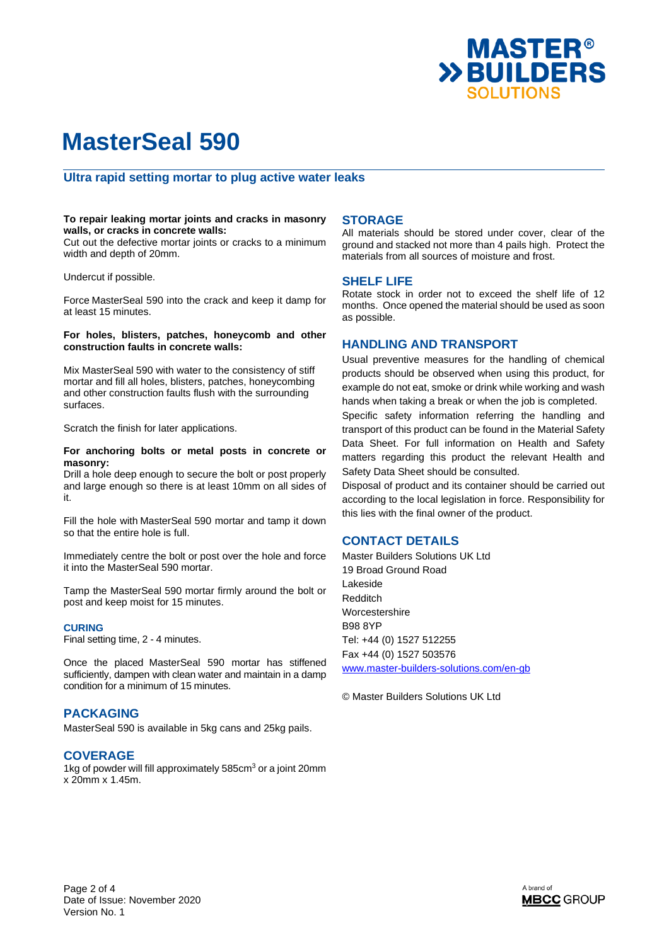

#### **Ultra rapid setting mortar to plug active water leaks**

#### **To repair leaking mortar joints and cracks in masonry walls, or cracks in concrete walls:**

Cut out the defective mortar joints or cracks to a minimum width and depth of 20mm.

Undercut if possible.

Force MasterSeal 590 into the crack and keep it damp for at least 15 minutes.

#### **For holes, blisters, patches, honeycomb and other construction faults in concrete walls:**

Mix MasterSeal 590 with water to the consistency of stiff mortar and fill all holes, blisters, patches, honeycombing and other construction faults flush with the surrounding surfaces.

Scratch the finish for later applications.

#### **For anchoring bolts or metal posts in concrete or masonry:**

Drill a hole deep enough to secure the bolt or post properly and large enough so there is at least 10mm on all sides of it.

Fill the hole with MasterSeal 590 mortar and tamp it down so that the entire hole is full.

Immediately centre the bolt or post over the hole and force it into the MasterSeal 590 mortar.

Tamp the MasterSeal 590 mortar firmly around the bolt or post and keep moist for 15 minutes.

#### **CURING**

Final setting time, 2 - 4 minutes.

Once the placed MasterSeal 590 mortar has stiffened sufficiently, dampen with clean water and maintain in a damp condition for a minimum of 15 minutes.

#### **PACKAGING**

MasterSeal 590 is available in 5kg cans and 25kg pails.

#### **COVERAGE**

1kg of powder will fill approximately 585cm<sup>3</sup> or a joint 20mm x 20mm x 1.45m.

#### **STORAGE**

All materials should be stored under cover, clear of the ground and stacked not more than 4 pails high. Protect the materials from all sources of moisture and frost.

#### **SHELF LIFE**

Rotate stock in order not to exceed the shelf life of 12 months. Once opened the material should be used as soon as possible.

#### **HANDLING AND TRANSPORT**

Usual preventive measures for the handling of chemical products should be observed when using this product, for example do not eat, smoke or drink while working and wash hands when taking a break or when the job is completed. Specific safety information referring the handling and transport of this product can be found in the Material Safety Data Sheet. For full information on Health and Safety matters regarding this product the relevant Health and Safety Data Sheet should be consulted.

Disposal of product and its container should be carried out according to the local legislation in force. Responsibility for this lies with the final owner of the product.

### **CONTACT DETAILS**

Master Builders Solutions UK Ltd 19 Broad Ground Road Lakeside Redditch **Worcestershire** B98 8YP Tel: +44 (0) 1527 512255 Fax +44 (0) 1527 503576 www.master-builders-solutions.com/en-gb

© Master Builders Solutions UK Ltd

Page 2 of 4 Date of Issue: November 2020 Version No. 1

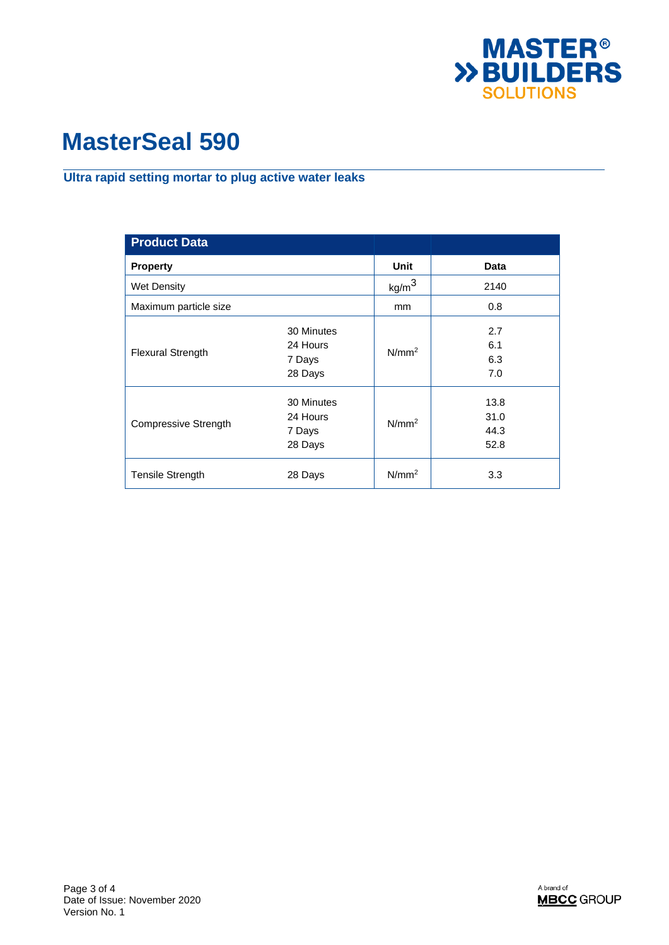

## **Ultra rapid setting mortar to plug active water leaks**

| <b>Product Data</b>         |                                             |                   |                              |
|-----------------------------|---------------------------------------------|-------------------|------------------------------|
| <b>Property</b>             |                                             | <b>Unit</b>       | Data                         |
| Wet Density                 |                                             | kg/m <sup>3</sup> | 2140                         |
| Maximum particle size       |                                             | mm                | 0.8                          |
| <b>Flexural Strength</b>    | 30 Minutes<br>24 Hours<br>7 Days<br>28 Days | N/mm <sup>2</sup> | 2.7<br>6.1<br>6.3<br>7.0     |
| <b>Compressive Strength</b> | 30 Minutes<br>24 Hours<br>7 Days<br>28 Days | N/mm <sup>2</sup> | 13.8<br>31.0<br>44.3<br>52.8 |
| <b>Tensile Strength</b>     | 28 Days                                     | N/mm <sup>2</sup> | 3.3                          |